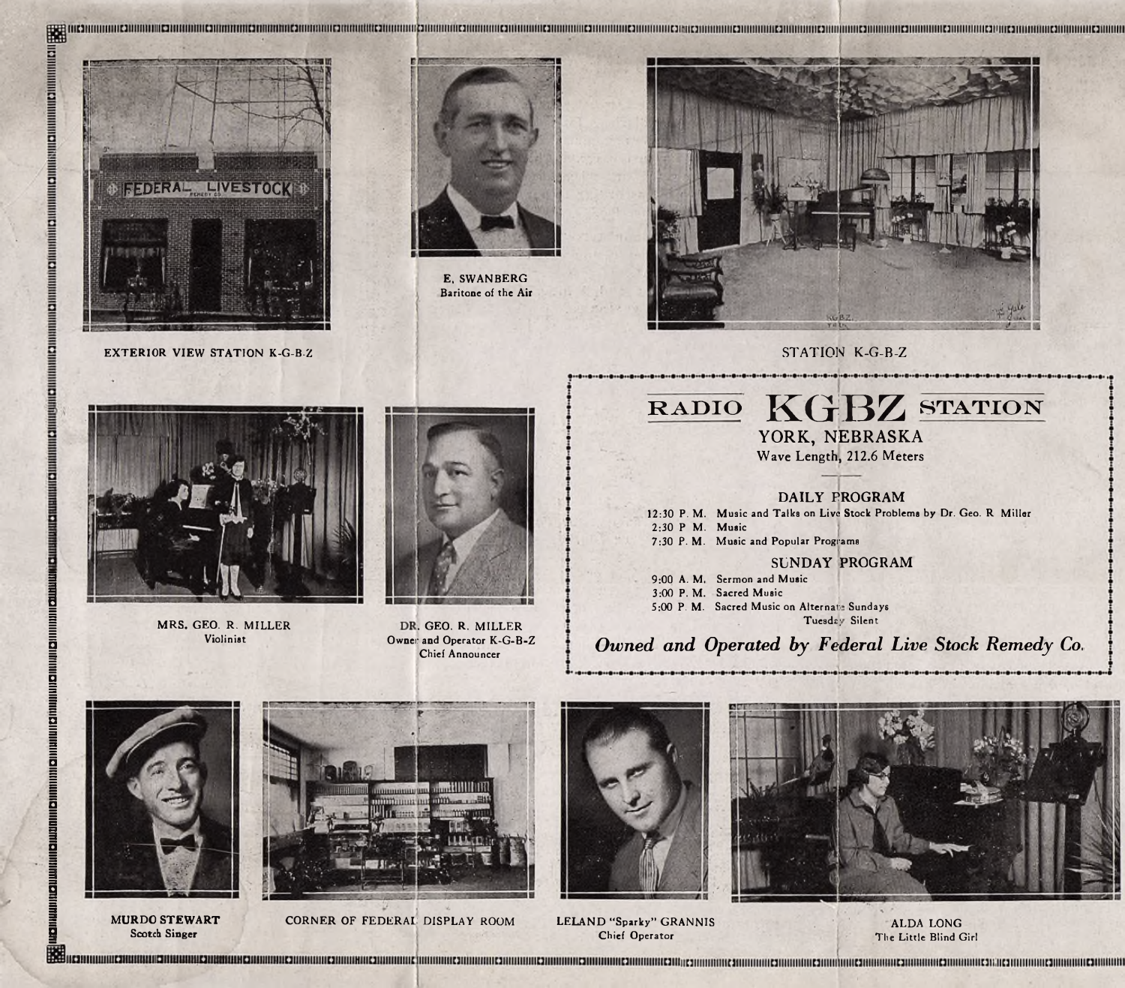

**EXTERIOR VIEW STATION K-G-B-Z** STATION K-G-B-Z

MRS. GEO. R. MILLER Violinist



E, SWANBERG Baritone of the Air





**RADIO** KGBZ **STATION**

**YORK, NEBRASKA** Wave Length, 212.6 Meters

DAILY PROGRAM

12:30 P. M. Music and Talks on Live Stock Problems by Dr. Geo. R Miller 2:30 P M. Music 7:30 P. M. Music and Popular Programs

SUNDAY PROGRAM

9:00 A. M. Sermon and Music P. M. 3:00 Sacred Music 5:00 P. M. Sacred Music on Alternate Sundays

Tuesday Silent

### Owner *Owned and Operated by Federal Live Stock Remedy Co.*



**liidimumindi wiidimudiuu Dimunii Qimiinii** Qimii ini Qimii ini Qimii ini Qimii ini Qimii in Qimii ili

<u>io</u><br>Mil

**Scotch Singer**



**MURDO STEWART** CORNER OF FEDERAL DISPLAY ROOM



Elittle Blind Girl (Sected Singer and Sected Singles of the Elittle Blind Girl (Sected Singles of the Little Blind Girl (Sected Singles of the Little Blind Girl (Sected Singles of the Little Blind Girl (Sected Singles of t LELAND "Sparky" GRANNIS Chief Operator



ALDA LONG

DR. GEO. R. MILLER Owner and Operator K-G-B-Z Chief Announcer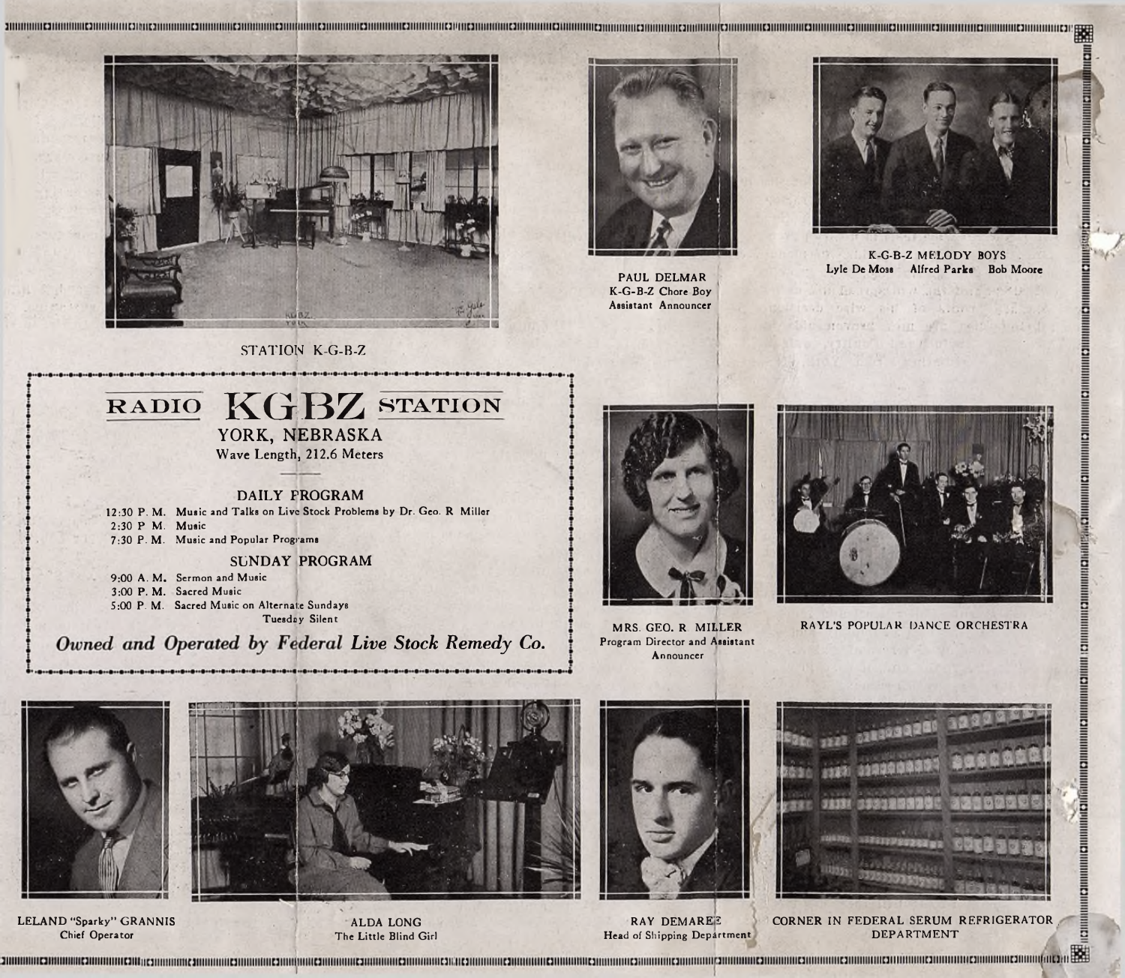

PAUL DELMAR K-G-B-Z Chore Boy Assistant Announcer



K-G-B-Z MELODY BOYS Lyle De Moss Alfred Parks Bob Moore

**UNIC2ININININIC2ININ** 

Шананны калпилинствовый

**INTERNATIONAL CONTINUES INTERNATIONAL CONTINUES INTO A REPORT OF A STATE OF A STATE OF A STATE OF A STATE OF A** 

STATION K-G-B-Z







MRS. GEO. R MILLER Program Director and Assistant Announcer

RAYL'S POPULAR DANCE ORCHESTRA



LELAND "Sparky" GRANNIS Chief Operator



ALDA LONG The Little Blind Girl



Head of Shipping Department



RAY DEMAREE CORNER IN FEDERAL SERUM REFRIGERATOR DEPARTMENT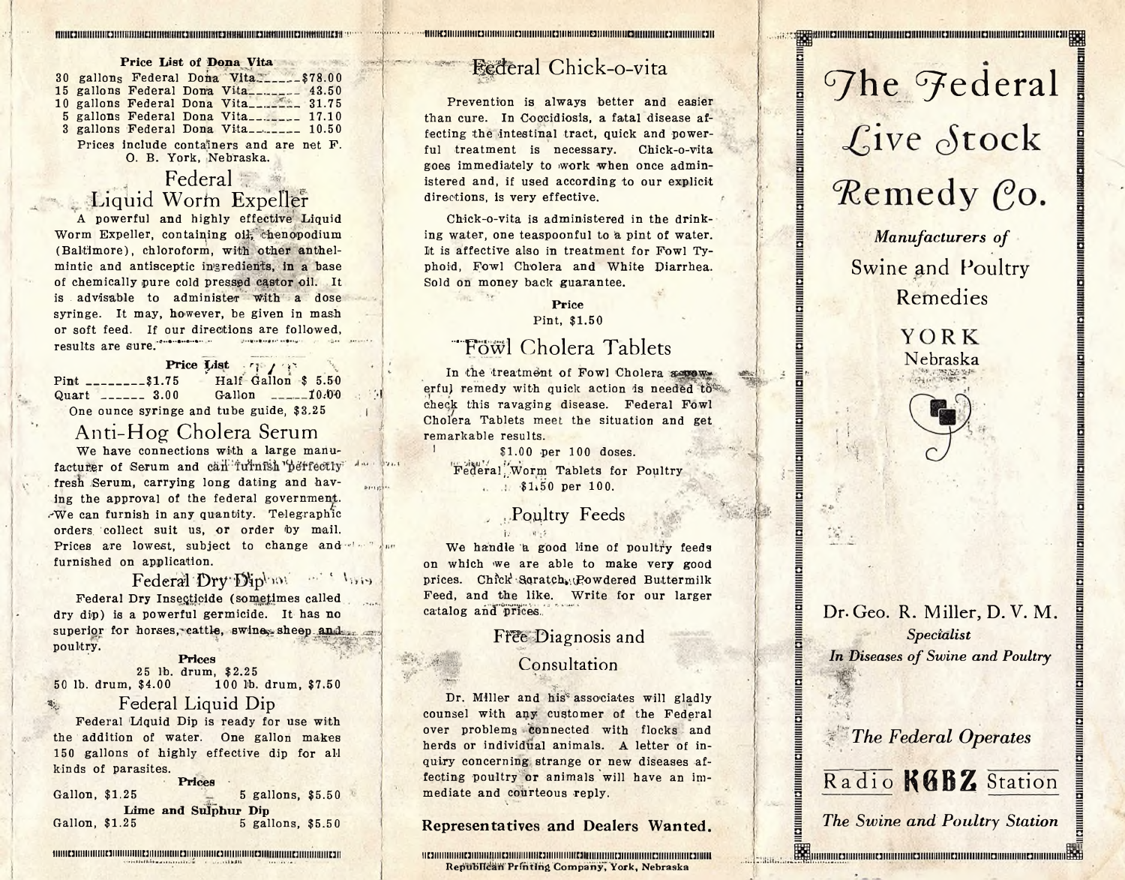| Price List of Dona Vita |  |                                             |  |  |  |  |  |  |  |  |
|-------------------------|--|---------------------------------------------|--|--|--|--|--|--|--|--|
|                         |  | 30 gallong Federal Dona Vita\$78.00         |  |  |  |  |  |  |  |  |
|                         |  | 15 gallons Federal Dona Vita_______ 43.50   |  |  |  |  |  |  |  |  |
|                         |  | 10 gallons Federal Dona Vita_________ 31.75 |  |  |  |  |  |  |  |  |
|                         |  | 5 gallons Federal Dona Vita_______ 17.10    |  |  |  |  |  |  |  |  |
|                         |  | 3 gallons Federal Dona Vita_______ 10.50    |  |  |  |  |  |  |  |  |
|                         |  | Prices include containers and are net F.    |  |  |  |  |  |  |  |  |
|                         |  | O. B. York. Nebraska.                       |  |  |  |  |  |  |  |  |

### Federal Liquid Worm Expeller

A powerful and highly effective Liquid Worm Expeller, containing oil, chenopodium (Baltimore), chloroform, with other anthelmintic and antisceptic ingrediehts, in a base of chemically pure cold pressed castor oil. It is advisable to administer with a dose syringe. It may, however, be given in mash or soft feed. If our directions are followed, results are sure.'\*"\*"\*"\*""

**Price** List *r i / i* Pint\_\_\_\_\_\_\_\_ \$1.75 Quart\_\_\_\_\_\_ 3.00 Half Gallon \$ 5.50 Gallon  $---10.00$ One ounce syringe and tube guide, \$3,25

I

Mi

### Anti-Hog Cholera Serum

We have connections with a large manufacturer of Serum and can furnish perfectly fresh Serum, carrying long dating and having the approval of the federal government. .-We can furnish in any quantity. Telegraphic orders, collect suit us, or order by mail. Prices are lowest, subject to change and the fact furnished on application.

### Federal Dry Diphot . Show

Federal Dry Insecticide (sometimes called dry dip) is a powerful germicide. It has no superior for horses, cattle, swines sheep and poultry.

### **Prices** 25 lb. drum, \$2.25

50 lb. drum, \$4.00 100 lb. drum, \$7.50

### Federal Liquid Dip

Federal Liquid Dip is ready for use with the addition of water. One gallon makes 150 gallons of highly effective dip for all kinds of parasites.

|                | Prices               |  |
|----------------|----------------------|--|
| Gallon, \$1.25 | 5 gallons, \$5.50    |  |
|                | Lime and Sulphur Dip |  |
| Gallon, \$1.25 | 5 gallons, \$5.50    |  |

iiiiii**is saan kautomaan kautomaan kautomaan kautomaan kautomaan kautomaan kautomaan kautomaan kautomaan kautom** 

### Bederal Chick-o-vita

**fiiinuiiiiiiiiiiiiHiiiHiiiiiiiHiiiiiiiiiiiiuiiiHiiiiiiiuiiiiiiiiii^**

Prevention is always better and easier than cure. In Coccidiosis, a fatal disease affecting the intestinal tract, quick and powerful treatment is necessary. Chick-o-vita goes immediately to work when once administered and, if used according to our explicit directions, is very effective.

Chick-o-vita is administered in the drinking water, one teaspoonful to a pint of water. It is affective also in treatment for Fowl Typhoid, Fowl Cholera and White Diarrhea. Sold on money back guarantee.

### **Price**

 $200 - 24$ 

Pint, \$1.50

### ..Fowl Cholera Tablets

In the treatment of Fowl Cholera assesserful remedy with quick action is needed to cheqk this ravaging disease. Federal Fowl Cholera Tablets meet the situation and get remarkable results.

\$1.00 per 100 doses. Federal Worm Tablets for Poultry  $\frac{1}{51.50}$  per 100.

**Poultry Feeds** 

We handle a good line of poultry feeds on which we are able to make very good prices. Chick Soratch Powdered Buttermilk Feed, and the like. Write for our larger catalog and prices.

### Free Diagnosis and

### Consultation

Dr. Miller and his<sup>\*</sup> associates will gladly counsel with any customer of the Federal over problems connected with flocks and herds or individual animals. A letter of inquiry concerning strange or new diseases affecting poultry or animals will have an immediate and courteous reply.

**Representatives and Dealers Wanted**

**iiuiiiiiiiiiiiiuiiiiiiimiiniiiiiiiiiiiiuiiiiiiiiim^ Republican'Printing Companyj York, Nebraska**

# The Federal Live Stock Remedy Co.

*Manufacturers of* Swine and Poultry Remedies

Nebraska

**YORK** 

Dr. Geo. R. Miller, D. V. M *Specialist In Diseases of Swine and Poultry*

*The Federal Operates*

Radio KGBZ Station

*The Swine and Poultry Station*

u <sup>11</sup>